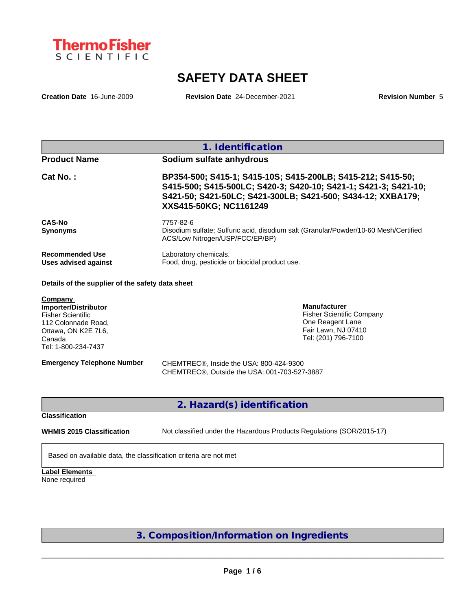

# **SAFETY DATA SHEET**

**Creation Date** 16-June-2009 **Revision Date** 24-December-2021 **Revision Number** 5

| 1. Identification                                                                                                                                                                                                       |
|-------------------------------------------------------------------------------------------------------------------------------------------------------------------------------------------------------------------------|
| Sodium sulfate anhydrous                                                                                                                                                                                                |
| BP354-500; S415-1; S415-10S; S415-200LB; S415-212; S415-50;<br>S415-500; S415-500LC; S420-3; S420-10; S421-1; S421-3; S421-10;<br>S421-50; S421-50LC; S421-300LB; S421-500; S434-12; XXBA179;<br>XXS415-50KG; NC1161249 |
| 7757-82-6<br>Disodium sulfate; Sulfuric acid, disodium salt (Granular/Powder/10-60 Mesh/Certified<br>ACS/Low Nitrogen/USP/FCC/EP/BP)                                                                                    |
| Laboratory chemicals.<br>Food, drug, pesticide or biocidal product use.                                                                                                                                                 |
|                                                                                                                                                                                                                         |

## **Details of the supplier of the safety data sheet**

**Company Importer/Distributor** Fisher Scientific 112 Colonnade Road, Ottawa, ON K2E 7L6, Canada Tel: 1-800-234-7437

**Manufacturer** Fisher Scientific Company One Reagent Lane Fair Lawn, NJ 07410 Tel: (201) 796-7100

**Emergency Telephone Number** CHEMTREC®, Inside the USA: 800-424-9300 CHEMTREC®, Outside the USA: 001-703-527-3887

**2. Hazard(s) identification**

**Classification**

**WHMIS 2015 Classification** Not classified under the Hazardous Products Regulations (SOR/2015-17)

 $\_$  ,  $\_$  ,  $\_$  ,  $\_$  ,  $\_$  ,  $\_$  ,  $\_$  ,  $\_$  ,  $\_$  ,  $\_$  ,  $\_$  ,  $\_$  ,  $\_$  ,  $\_$  ,  $\_$  ,  $\_$  ,  $\_$  ,  $\_$  ,  $\_$  ,  $\_$  ,  $\_$  ,  $\_$  ,  $\_$  ,  $\_$  ,  $\_$  ,  $\_$  ,  $\_$  ,  $\_$  ,  $\_$  ,  $\_$  ,  $\_$  ,  $\_$  ,  $\_$  ,  $\_$  ,  $\_$  ,  $\_$  ,  $\_$  ,

Based on available data, the classification criteria are not met

**Label Elements** None required

**3. Composition/Information on Ingredients**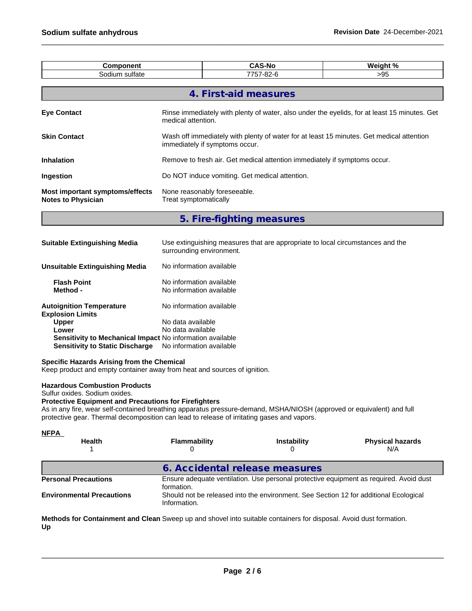| <b>CAS-No</b><br>Weight %<br><b>Component</b>                       |                                                                                                                            |                                                                                |  |  |  |
|---------------------------------------------------------------------|----------------------------------------------------------------------------------------------------------------------------|--------------------------------------------------------------------------------|--|--|--|
| Sodium sulfate<br>7757-82-6<br>$>95$                                |                                                                                                                            |                                                                                |  |  |  |
|                                                                     |                                                                                                                            |                                                                                |  |  |  |
|                                                                     |                                                                                                                            | 4. First-aid measures                                                          |  |  |  |
| <b>Eye Contact</b>                                                  | Rinse immediately with plenty of water, also under the eyelids, for at least 15 minutes. Get<br>medical attention.         |                                                                                |  |  |  |
| <b>Skin Contact</b>                                                 | Wash off immediately with plenty of water for at least 15 minutes. Get medical attention<br>immediately if symptoms occur. |                                                                                |  |  |  |
| Inhalation                                                          | Remove to fresh air. Get medical attention immediately if symptoms occur.                                                  |                                                                                |  |  |  |
| Ingestion                                                           | Do NOT induce vomiting. Get medical attention.                                                                             |                                                                                |  |  |  |
| <b>Most important symptoms/effects</b><br><b>Notes to Physician</b> | None reasonably foreseeable.<br>Treat symptomatically                                                                      |                                                                                |  |  |  |
|                                                                     |                                                                                                                            | 5. Fire-fighting measures                                                      |  |  |  |
| <b>Suitable Extinguishing Media</b>                                 | surrounding environment.                                                                                                   | Use extinguishing measures that are appropriate to local circumstances and the |  |  |  |

| Unsuitable Extinguishing Media                             | No information available                             |
|------------------------------------------------------------|------------------------------------------------------|
| <b>Flash Point</b><br>Method -                             | No information available<br>No information available |
| <b>Autoignition Temperature</b><br><b>Explosion Limits</b> | No information available                             |
| <b>Upper</b>                                               | No data available                                    |
| Lower                                                      | No data available                                    |
| Sensitivity to Mechanical Impact No information available  |                                                      |
| <b>Sensitivity to Static Discharge</b>                     | No information available                             |

### **Specific Hazards Arising from the Chemical**

Keep product and empty container away from heat and sources of ignition.

## **Hazardous Combustion Products**

Sulfur oxides. Sodium oxides.

## **Protective Equipment and Precautions for Firefighters**

As in any fire, wear self-contained breathing apparatus pressure-demand, MSHA/NIOSH (approved or equivalent) and full protective gear. Thermal decomposition can lead to release of irritating gases and vapors.

| <u>NFPA</u><br><b>Health</b>     | <b>Flammability</b>                                                                                  | <b>Instability</b>                                                                    | <b>Physical hazards</b><br>N/A |  |
|----------------------------------|------------------------------------------------------------------------------------------------------|---------------------------------------------------------------------------------------|--------------------------------|--|
|                                  | 6. Accidental release measures                                                                       |                                                                                       |                                |  |
| <b>Personal Precautions</b>      | Ensure adequate ventilation. Use personal protective equipment as required. Avoid dust<br>formation. |                                                                                       |                                |  |
| <b>Environmental Precautions</b> | Information.                                                                                         | Should not be released into the environment. See Section 12 for additional Ecological |                                |  |

**Methods for Containment and Clean** Sweep up and shovel into suitable containers for disposal. Avoid dust formation. **Up**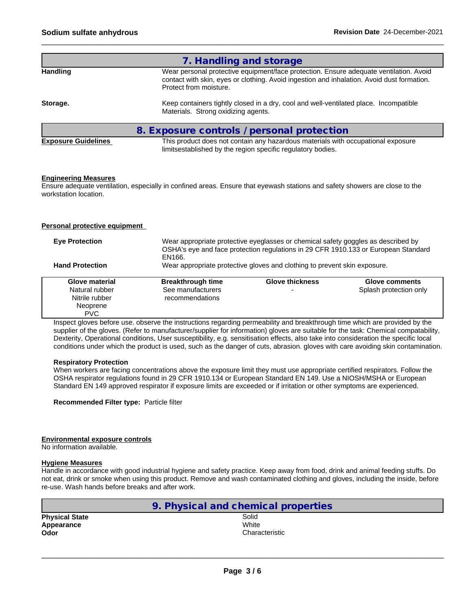|                            | 7. Handling and storage                                                                                                                                                                                        |
|----------------------------|----------------------------------------------------------------------------------------------------------------------------------------------------------------------------------------------------------------|
| <b>Handling</b>            | Wear personal protective equipment/face protection. Ensure adequate ventilation. Avoid<br>contact with skin, eyes or clothing. Avoid ingestion and inhalation. Avoid dust formation.<br>Protect from moisture. |
| Storage.                   | Keep containers tightly closed in a dry, cool and well-ventilated place. Incompatible<br>Materials. Strong oxidizing agents.                                                                                   |
|                            | 8. Exposure controls / personal protection                                                                                                                                                                     |
| <b>Exposure Guidelines</b> | This product does not contain any hazardous materials with occupational exposure<br>limitsestablished by the region specific regulatory bodies.                                                                |

## **Engineering Measures**

Ensure adequate ventilation, especially in confined areas. Ensure that eyewash stations and safety showers are close to the workstation location.

## **Personal protective equipment**

| <b>Eye Protection</b><br><b>Hand Protection</b> | Wear appropriate protective eyeglasses or chemical safety goggles as described by<br>OSHA's eye and face protection regulations in 29 CFR 1910.133 or European Standard<br>EN166.<br>Wear appropriate protective gloves and clothing to prevent skin exposure. |                        |                        |
|-------------------------------------------------|----------------------------------------------------------------------------------------------------------------------------------------------------------------------------------------------------------------------------------------------------------------|------------------------|------------------------|
|                                                 |                                                                                                                                                                                                                                                                |                        |                        |
| Glove material                                  | <b>Breakthrough time</b>                                                                                                                                                                                                                                       | <b>Glove thickness</b> | Glove comments         |
| Natural rubber                                  | See manufacturers                                                                                                                                                                                                                                              |                        | Splash protection only |
| Nitrile rubber                                  | recommendations                                                                                                                                                                                                                                                |                        |                        |
| Neoprene                                        |                                                                                                                                                                                                                                                                |                        |                        |
| <b>PVC</b>                                      |                                                                                                                                                                                                                                                                |                        |                        |

Inspect gloves before use. observe the instructions regarding permeability and breakthrough time which are provided by the supplier of the gloves. (Refer to manufacturer/supplier for information) gloves are suitable for the task: Chemical compatability, Dexterity, Operational conditions, User susceptibility, e.g. sensitisation effects, also take into consideration the specific local conditions under which the product is used, such as the danger of cuts, abrasion. gloves with care avoiding skin contamination.

### **Respiratory Protection**

When workers are facing concentrations above the exposure limit they must use appropriate certified respirators. Follow the OSHA respirator regulations found in 29 CFR 1910.134 or European Standard EN 149. Use a NIOSH/MSHA or European Standard EN 149 approved respirator if exposure limits are exceeded or if irritation or other symptoms are experienced.

**Recommended Filter type:** Particle filter

### **Environmental exposure controls**

No information available.

## **Hygiene Measures**

Handle in accordance with good industrial hygiene and safety practice. Keep away from food, drink and animal feeding stuffs. Do not eat, drink or smoke when using this product. Remove and wash contaminated clothing and gloves, including the inside, before re-use. Wash hands before breaks and after work.

|                       | 9. Physical and chemical properties |  |
|-----------------------|-------------------------------------|--|
| <b>Physical State</b> | Solid                               |  |
| Appearance            | White                               |  |
| Odor                  | Characteristic                      |  |
|                       |                                     |  |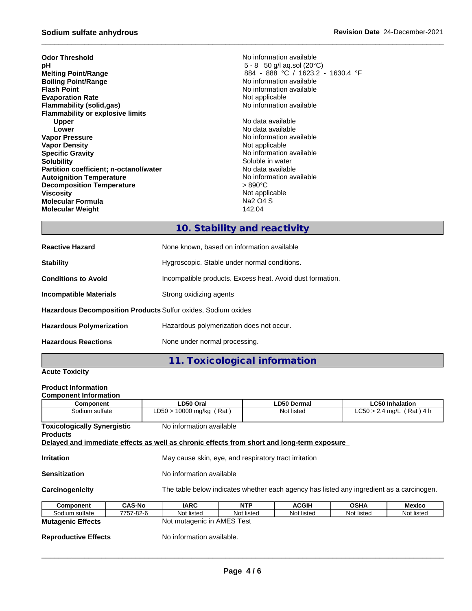| No information available          |
|-----------------------------------|
| $5 - 8$ 50 g/l ag.sol (20 °C)     |
| 884 - 888 °C / 1623.2 - 1630.4 °F |
| No information available          |
| No information available          |
| Not applicable                    |
| No information available          |
|                                   |
| No data available                 |
| No data available                 |
| No information available          |
| Not applicable                    |
| No information available          |
| Soluble in water                  |
| No data available                 |
| No information available          |
| > 890°C                           |
| Not applicable                    |
| Na2 O4 S                          |
| 142.04                            |
|                                   |

## **10. Stability and reactivity**

| <b>Reactive Hazard</b>                                               | None known, based on information available                |
|----------------------------------------------------------------------|-----------------------------------------------------------|
| <b>Stability</b>                                                     | Hygroscopic. Stable under normal conditions.              |
| <b>Conditions to Avoid</b>                                           | Incompatible products. Excess heat. Avoid dust formation. |
| <b>Incompatible Materials</b>                                        | Strong oxidizing agents                                   |
| <b>Hazardous Decomposition Products Sulfur oxides, Sodium oxides</b> |                                                           |
| <b>Hazardous Polymerization</b>                                      | Hazardous polymerization does not occur.                  |
| <b>Hazardous Reactions</b>                                           | None under normal processing.                             |

**11. Toxicological information**

## **Acute Toxicity**

## **Product Information**

| Component                                             | LD50 Oral                                                                                                              | LD50 Dermal<br><b>LC50 Inhalation</b>                                                    |              |             |               |  |
|-------------------------------------------------------|------------------------------------------------------------------------------------------------------------------------|------------------------------------------------------------------------------------------|--------------|-------------|---------------|--|
| Sodium sulfate                                        |                                                                                                                        | $LD50 > 10000$ mg/kg (Rat)<br>$LC50 > 2.4$ mg/L (Rat) 4 h<br>Not listed                  |              |             |               |  |
| <b>Toxicologically Synergistic</b><br><b>Products</b> | No information available<br>Delayed and immediate effects as well as chronic effects from short and long-term exposure |                                                                                          |              |             |               |  |
| <b>Irritation</b>                                     |                                                                                                                        | May cause skin, eye, and respiratory tract irritation                                    |              |             |               |  |
| <b>Sensitization</b>                                  |                                                                                                                        | No information available                                                                 |              |             |               |  |
| Carcinogenicity                                       |                                                                                                                        | The table below indicates whether each agency has listed any ingredient as a carcinogen. |              |             |               |  |
| Component                                             | <b>CAS-No</b><br><b>IARC</b>                                                                                           | <b>NTP</b>                                                                               | <b>ACGIH</b> | <b>OSHA</b> | <b>Mexico</b> |  |
| Sodium sulfate                                        | 7757-82-6<br>Not listed                                                                                                | Not listed                                                                               | Not listed   | Not listed  | Not listed    |  |
| <b>Mutagenic Effects</b>                              |                                                                                                                        | Not mutagenic in AMES Test                                                               |              |             |               |  |

**Reproductive Effects** No information available.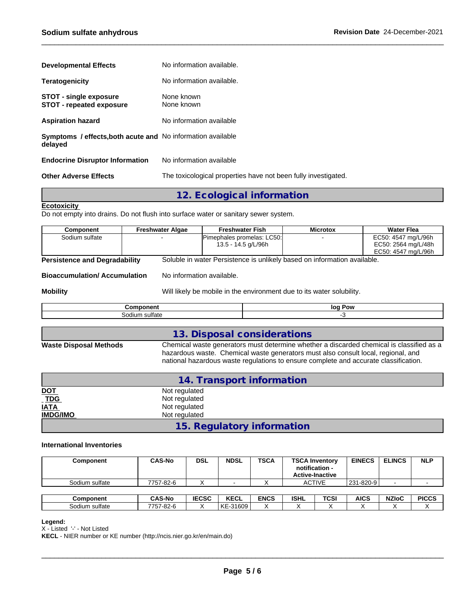| <b>Developmental Effects</b>                                                 | No information available.                                      |
|------------------------------------------------------------------------------|----------------------------------------------------------------|
| <b>Teratogenicity</b>                                                        | No information available.                                      |
| <b>STOT - single exposure</b><br><b>STOT - repeated exposure</b>             | None known<br>None known                                       |
| <b>Aspiration hazard</b>                                                     | No information available                                       |
| <b>Symptoms / effects.both acute and No information available</b><br>delayed |                                                                |
| <b>Endocrine Disruptor Information</b>                                       | No information available                                       |
| <b>Other Adverse Effects</b>                                                 | The toxicological properties have not been fully investigated. |

## **12. Ecological information**

## **Ecotoxicity**

Do not empty into drains. Do not flush into surface water or sanitary sewer system.

| Component                                                                                                        | <b>Freshwater Algae</b>   | <b>Freshwater Fish</b>                                                | <b>Microtox</b> | <b>Water Flea</b>   |
|------------------------------------------------------------------------------------------------------------------|---------------------------|-----------------------------------------------------------------------|-----------------|---------------------|
| Sodium sulfate                                                                                                   |                           | Pimephales promelas: LC50:                                            |                 | EC50: 4547 mg/L/96h |
|                                                                                                                  |                           | 13.5 - 14.5 g/L/96h                                                   |                 | EC50: 2564 mg/L/48h |
|                                                                                                                  |                           |                                                                       |                 | EC50: 4547 mg/L/96h |
| Soluble in water Persistence is unlikely based on information available.<br><b>Persistence and Degradability</b> |                           |                                                                       |                 |                     |
| <b>Bioaccumulation/Accumulation</b>                                                                              | No information available. |                                                                       |                 |                     |
| <b>Mobility</b>                                                                                                  |                           | Will likely be mobile in the environment due to its water solubility. |                 |                     |
|                                                                                                                  | Component                 |                                                                       | log Pow         |                     |
| Sodium sulfate                                                                                                   |                           |                                                                       | -3              |                     |
|                                                                                                                  |                           |                                                                       |                 |                     |
|                                                                                                                  |                           | 12 Disposal considerations                                            |                 |                     |

## **13. Disposal considerations**

**Waste Disposal Methods** Chemical waste generators must determine whether a discarded chemical is classified as a hazardous waste. Chemical waste generators must also consult local, regional, and national hazardous waste regulations to ensure complete and accurate classification.

|                 | 14. Transport information  |  |
|-----------------|----------------------------|--|
| <u>DOT</u>      | Not regulated              |  |
| TDG<br>IATA     | Not regulated              |  |
|                 | Not regulated              |  |
| <b>IMDG/IMO</b> | Not regulated              |  |
|                 | 15. Regulatory information |  |

## **International Inventories**

| Component      | <b>CAS-No</b> | <b>DSL</b>   | <b>NDSL</b> | <b>TSCA</b> |             | <b>TSCA Inventory</b><br>notification -<br><b>Active-Inactive</b> | <b>EINECS</b> | <b>ELINCS</b> | <b>NLP</b>   |
|----------------|---------------|--------------|-------------|-------------|-------------|-------------------------------------------------------------------|---------------|---------------|--------------|
| Sodium sulfate | 7757-82-6     |              |             |             |             | <b>ACTIVE</b>                                                     | 231-820-9     |               |              |
|                |               |              |             |             |             |                                                                   |               |               |              |
| Component      | <b>CAS-No</b> | <b>IECSC</b> | <b>KECL</b> | <b>ENCS</b> | <b>ISHL</b> | TCSI                                                              | <b>AICS</b>   | <b>NZIoC</b>  | <b>PICCS</b> |
| Sodium sulfate | 7757-82-6     |              | KE-31609    |             | $\lambda$   | $\cdot$                                                           |               |               |              |

## **Legend:**

X - Listed '-' - Not Listed

**KECL** - NIER number or KE number (http://ncis.nier.go.kr/en/main.do)